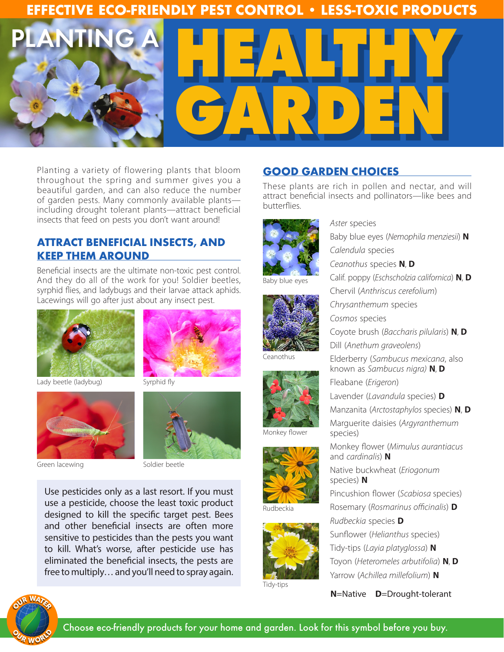## **EFFECTIVE ECO-FRIENDLY PEST CONTROL • LESS-TOXIC PRODUCTS**



Planting a variety of flowering plants that bloom throughout the spring and summer gives you a beautiful garden, and can also reduce the number of garden pests. Many commonly available plants including drought tolerant plants—attract beneficial insects that feed on pests you don't want around!

### **ATTRACT BENEFICIAL INSECTS, AND KEEP THEM AROUND**

Beneficial insects are the ultimate non-toxic pest control. And they do all of the work for you! Soldier beetles, syrphid flies, and ladybugs and their larvae attack aphids. Lacewings will go after just about any insect pest.



Lady beetle (ladybug)



Green lacewing Soldier beetle



Syrphid fly



Use pesticides only as a last resort. If you must use a pesticide, choose the least toxic product designed to kill the specific target pest. Bees and other beneficial insects are often more sensitive to pesticides than the pests you want to kill. What's worse, after pesticide use has eliminated the beneficial insects, the pests are free to multiply… and you'll need to spray again.

## **GOOD GARDEN CHOICES**

These plants are rich in pollen and nectar, and will attract beneficial insects and pollinators—like bees and butterflies.

*Aster* species



Baby blue eyes



**Ceanothus** 



Monkey flower



Rudbeckia



Tidy-tips

Baby blue eyes (*Nemophila menziesii*) **N** *Calendula* species *Ceanothus* species **N**, **D** Calif. poppy (*Eschscholzia californica*) **N**, **D** Chervil (*Anthriscus cerefolium*) *Chrysanthemum* species *Cosmos* species Coyote brush (*Baccharis pilularis*) **N**, **D** Dill (*Anethum graveolens*) Elderberry (*Sambucus mexicana*, also known as *Sambucus nigra)* **N**, **D** Fleabane (*Erigeron*) Lavender (*Lavandula* species) **D** Manzanita (*Arctostaphylos* species) **N**, **D** Marguerite daisies (*Argyranthemum* species) Monkey flower (*Mimulus aurantiacus* and *cardinalis*) **N** Native buckwheat (*Eriogonum*  species) **N** Pincushion flower (*Scabiosa* species)

Rosemary (*Rosmarinus officinalis*) **D** *Rudbeckia* species **D** Sunflower (*Helianthus* species) Tidy-tips (*Layia platyglossa*) **N** Toyon (*Heteromeles arbutifolia*) **N**, **D** Yarrow (*Achillea millefolium*) **N**

**N**=Native **D**=Drought-tolerant